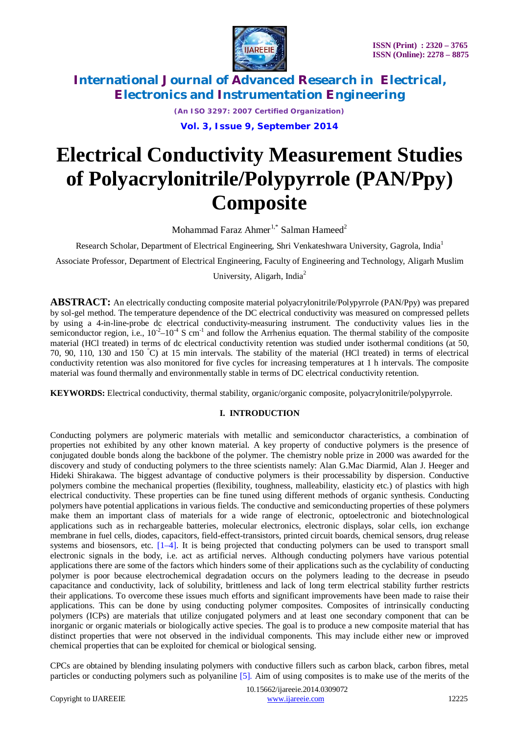

*(An ISO 3297: 2007 Certified Organization)*

**Vol. 3, Issue 9, September 2014**

# **Electrical Conductivity Measurement Studies of Polyacrylonitrile/Polypyrrole (PAN/Ppy) Composite**

Mohammad Faraz Ahmer<sup>1,\*</sup> Salman Hameed<sup>2</sup>

Research Scholar, Department of Electrical Engineering, Shri Venkateshwara University, Gagrola, India<sup>1</sup>

Associate Professor, Department of Electrical Engineering, Faculty of Engineering and Technology, Aligarh Muslim

University, Aligarh, India<sup>2</sup>

**ABSTRACT:** An electrically conducting composite material polyacrylonitrile/Polypyrrole (PAN/Ppy) was prepared by sol-gel method. The temperature dependence of the DC electrical conductivity was measured on compressed pellets by using a 4-in-line-probe dc electrical conductivity-measuring instrument. The conductivity values lies in the semiconductor region, i.e.,  $10^{-2}$ – $10^{-4}$  S cm<sup>-1</sup> and follow the Arrhenius equation. The thermal stability of the composite material (HCl treated) in terms of dc electrical conductivity retention was studied under isothermal conditions (at 50, 70, 90, 110, 130 and 150 °C) at 15 min intervals. The stability of the material (HCl treated) in terms of electrical conductivity retention was also monitored for five cycles for increasing temperatures at 1 h intervals. The composite material was found thermally and environmentally stable in terms of DC electrical conductivity retention.

**KEYWORDS:** Electrical conductivity, thermal stability, organic/organic composite, polyacrylonitrile/polypyrrole.

### **I. INTRODUCTION**

Conducting polymers are polymeric materials with metallic and semiconductor characteristics, a combination of properties not exhibited by any other known material. A key property of conductive polymers is the presence of conjugated double bonds along the backbone of the polymer. The chemistry noble prize in 2000 was awarded for the discovery and study of conducting polymers to the three scientists namely: Alan G.Mac Diarmid, Alan J. Heeger and Hideki Shirakawa. The biggest advantage of conductive polymers is their processability by dispersion. Conductive polymers combine the mechanical properties (flexibility, toughness, malleability, elasticity etc.) of plastics with high electrical conductivity. These properties can be fine tuned using different methods of organic synthesis. Conducting polymers have potential applications in various fields. The conductive and semiconducting properties of these polymers make them an important class of materials for a wide range of electronic, optoelectronic and biotechnological applications such as in rechargeable batteries, molecular electronics, electronic displays, solar cells, ion exchange membrane in fuel cells, diodes, capacitors, field-effect-transistors, printed circuit boards, chemical sensors, drug release systems and biosensors, etc.  $[1-4]$ . It is being projected that conducting polymers can be used to transport small electronic signals in the body, i.e. act as artificial nerves. Although conducting polymers have various potential applications there are some of the factors which hinders some of their applications such as the cyclability of conducting polymer is poor because electrochemical degradation occurs on the polymers leading to the decrease in pseudo capacitance and conductivity, lack of solubility, brittleness and lack of long term electrical stability further restricts their applications. To overcome these issues much efforts and significant improvements have been made to raise their applications. This can be done by using conducting polymer composites. Composites of intrinsically conducting polymers (ICPs) are materials that utilize conjugated polymers and at least one secondary component that can be inorganic or organic materials or biologically active species. The goal is to produce a new composite material that has distinct properties that were not observed in the individual components. This may include either new or improved chemical properties that can be exploited for chemical or biological sensing.

CPCs are obtained by blending insulating polymers with conductive fillers such as carbon black, carbon fibres, metal particles or conducting polymers such as polyaniline [5]. Aim of using composites is to make use of the merits of the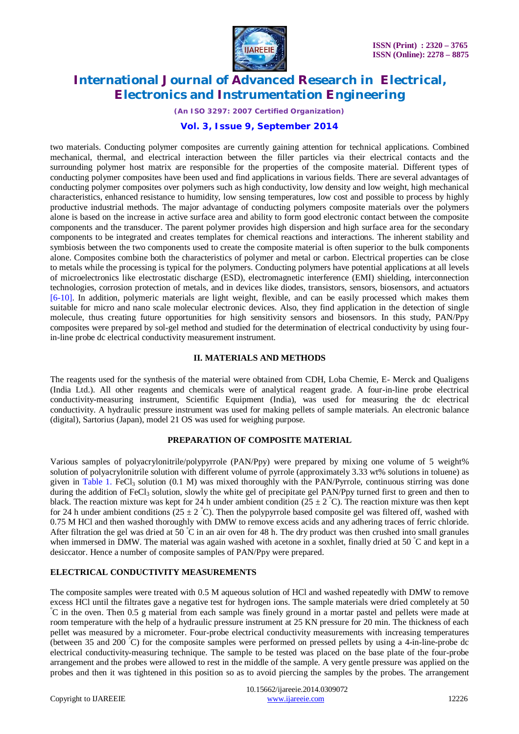

*(An ISO 3297: 2007 Certified Organization)*

#### **Vol. 3, Issue 9, September 2014**

two materials. Conducting polymer composites are currently gaining attention for technical applications. Combined mechanical, thermal, and electrical interaction between the filler particles via their electrical contacts and the surrounding polymer host matrix are responsible for the properties of the composite material. Different types of conducting polymer composites have been used and find applications in various fields. There are several advantages of conducting polymer composites over polymers such as high conductivity, low density and low weight, high mechanical characteristics, enhanced resistance to humidity, low sensing temperatures, low cost and possible to process by highly productive industrial methods. The major advantage of conducting polymers composite materials over the polymers alone is based on the increase in active surface area and ability to form good electronic contact between the composite components and the transducer. The parent polymer provides high dispersion and high surface area for the secondary components to be integrated and creates templates for chemical reactions and interactions. The inherent stability and symbiosis between the two components used to create the composite material is often superior to the bulk components alone. Composites combine both the characteristics of polymer and metal or carbon. Electrical properties can be close to metals while the processing is typical for the polymers. Conducting polymers have potential applications at all levels of microelectronics like electrostatic discharge (ESD), electromagnetic interference (EMI) shielding, interconnection technologies, corrosion protection of metals, and in devices like diodes, transistors, sensors, biosensors, and actuators [6-10]. In addition, polymeric materials are light weight, flexible, and can be easily processed which makes them suitable for micro and nano scale molecular electronic devices. Also, they find application in the detection of single molecule, thus creating future opportunities for high sensitivity sensors and biosensors. In this study, PAN/Ppy composites were prepared by sol-gel method and studied for the determination of electrical conductivity by using fourin-line probe dc electrical conductivity measurement instrument.

#### **II. MATERIALS AND METHODS**

The reagents used for the synthesis of the material were obtained from CDH, Loba Chemie, E- Merck and Qualigens (India Ltd.). All other reagents and chemicals were of analytical reagent grade. A four-in-line probe electrical conductivity-measuring instrument, Scientific Equipment (India), was used for measuring the dc electrical conductivity. A hydraulic pressure instrument was used for making pellets of sample materials. An electronic balance (digital), Sartorius (Japan), model 21 OS was used for weighing purpose.

### **PREPARATION OF COMPOSITE MATERIAL**

Various samples of polyacrylonitrile/polypyrrole (PAN/Ppy) were prepared by mixing one volume of 5 weight% solution of polyacrylonitrile solution with different volume of pyrrole (approximately 3.33 wt% solutions in toluene) as given in Table 1. FeCl<sub>3</sub> solution (0.1 M) was mixed thoroughly with the PAN/Pyrrole, continuous stirring was done during the addition of FeCl<sub>3</sub> solution, slowly the white gel of precipitate gel PAN/Ppy turned first to green and then to black. The reaction mixture was kept for 24 h under ambient condition (25  $\pm$  2 °C). The reaction mixture was then kept for 24 h under ambient conditions  $(25 \pm 2^{\circ}C)$ . Then the polypyrrole based composite gel was filtered off, washed with 0.75 M HCl and then washed thoroughly with DMW to remove excess acids and any adhering traces of ferric chloride. After filtration the gel was dried at 50  $\degree$ C in an air oven for 48 h. The dry product was then crushed into small granules when immersed in DMW. The material was again washed with acetone in a soxhlet, finally dried at 50 °C and kept in a desiccator. Hence a number of composite samples of PAN/Ppy were prepared.

### **ELECTRICAL CONDUCTIVITY MEASUREMENTS**

The composite samples were treated with 0.5 M aqueous solution of HCl and washed repeatedly with DMW to remove excess HCl until the filtrates gave a negative test for hydrogen ions. The sample materials were dried completely at 50 °C in the oven. Then 0.5 g material from each sample was finely ground in a mortar pastel and pellets were made at room temperature with the help of a hydraulic pressure instrument at 25 KN pressure for 20 min. The thickness of each pellet was measured by a micrometer. Four-probe electrical conductivity measurements with increasing temperatures (between 35 and 200 °C) for the composite samples were performed on pressed pellets by using a 4-in-line-probe dc electrical conductivity-measuring technique. The sample to be tested was placed on the base plate of the four-probe arrangement and the probes were allowed to rest in the middle of the sample. A very gentle pressure was applied on the probes and then it was tightened in this position so as to avoid piercing the samples by the probes. The arrangement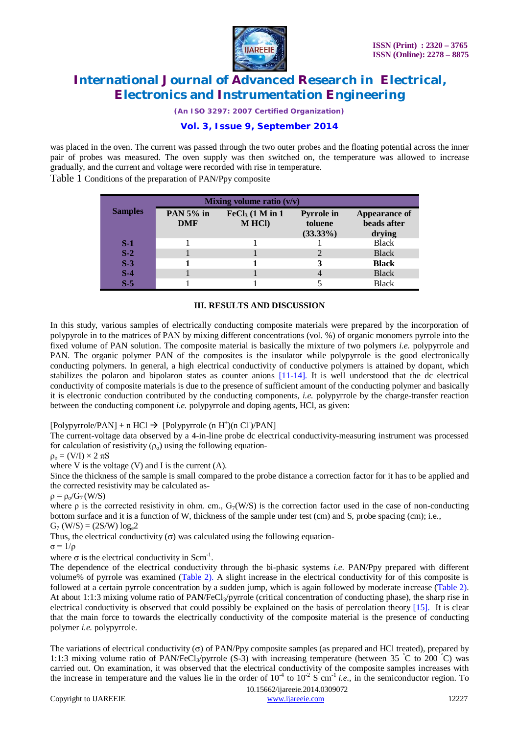

*(An ISO 3297: 2007 Certified Organization)*

### **Vol. 3, Issue 9, September 2014**

was placed in the oven. The current was passed through the two outer probes and the floating potential across the inner pair of probes was measured. The oven supply was then switched on, the temperature was allowed to increase gradually, and the current and voltage were recorded with rise in temperature.

Table 1 Conditions of the preparation of PAN/Ppy composite

| Mixing volume ratio $(v/v)$ |                                |                                    |                                             |                                        |  |
|-----------------------------|--------------------------------|------------------------------------|---------------------------------------------|----------------------------------------|--|
| <b>Samples</b>              | <b>PAN 5% in</b><br><b>DMF</b> | $FeCl3$ (1 M in 1<br><b>MHCI</b> ) | <b>Pyrrole in</b><br>toluene<br>$(33.33\%)$ | Appearance of<br>beads after<br>drying |  |
| S-1                         |                                |                                    |                                             | <b>Black</b>                           |  |
| $\overline{S-2}$            |                                |                                    |                                             | <b>Black</b>                           |  |
| $S-3$                       |                                |                                    |                                             | <b>Black</b>                           |  |
| $S-4$                       |                                |                                    |                                             | <b>Black</b>                           |  |
| $S-5$                       |                                |                                    |                                             | <b>Black</b>                           |  |

#### **III. RESULTS AND DISCUSSION**

In this study, various samples of electrically conducting composite materials were prepared by the incorporation of polypyrole in to the matrices of PAN by mixing different concentrations (vol. %) of organic monomers pyrrole into the fixed volume of PAN solution. The composite material is basically the mixture of two polymers *i.e.* polypyrrole and PAN. The organic polymer PAN of the composites is the insulator while polypyrrole is the good electronically conducting polymers. In general, a high electrical conductivity of conductive polymers is attained by dopant, which stabilizes the polaron and bipolaron states as counter anions [11-14]. It is well understood that the dc electrical conductivity of composite materials is due to the presence of sufficient amount of the conducting polymer and basically it is electronic conduction contributed by the conducting components, *i.e.* polypyrrole by the charge-transfer reaction between the conducting component *i.e.* polypyrrole and doping agents, HCl, as given:

#### [Polypyrrole/PAN] + n HCl  $\rightarrow$  [Polypyrrole (n H<sup>+</sup>)(n Cl<sup>-</sup>)/PAN]

The current-voltage data observed by a 4-in-line probe dc electrical conductivity-measuring instrument was processed for calculation of resistivity  $(\rho_0)$  using the following equation-

 $\rho_o = (V/I) \times 2 \pi S$ 

where V is the voltage  $(V)$  and I is the current  $(A)$ .

Since the thickness of the sample is small compared to the probe distance a correction factor for it has to be applied and the corrected resistivity may be calculated as-

 $\rho = \rho_0/G_7(W/S)$ 

where  $\rho$  is the corrected resistivity in ohm. cm.,  $G_7(W/S)$  is the correction factor used in the case of non-conducting bottom surface and it is a function of W, thickness of the sample under test (cm) and S, probe spacing (cm); i.e.,  $G_7$  (W/S) = (2S/W)  $log_e 2$ 

Thus, the electrical conductivity  $(\sigma)$  was calculated using the following equation-

 $\sigma = 1/\rho$ 

where  $\sigma$  is the electrical conductivity in Scm<sup>-1</sup>.

The dependence of the electrical conductivity through the bi-phasic systems *i.e.* PAN/Ppy prepared with different volume% of pyrrole was examined (Table 2). A slight increase in the electrical conductivity for of this composite is followed at a certain pyrrole concentration by a sudden jump, which is again followed by moderate increase (Table 2). At about 1:1:3 mixing volume ratio of PAN/FeCl<sub>3</sub>/pyrrole (critical concentration of conducting phase), the sharp rise in electrical conductivity is observed that could possibly be explained on the basis of percolation theory  $[15]$ . It is clear that the main force to towards the electrically conductivity of the composite material is the presence of conducting polymer *i.e.* polypyrrole.

The variations of electrical conductivity  $(\sigma)$  of PAN/Ppy composite samples (as prepared and HCl treated), prepared by 1:1:3 mixing volume ratio of PAN/FeCl<sub>3</sub>/pyrrole (S-3) with increasing temperature (between 35 °C to 200 °C) was carried out. On examination, it was observed that the electrical conductivity of the composite samples increases with the increase in temperature and the values lie in the order of  $10^{-4}$  to  $10^{-2}$  S cm<sup>-1</sup> *i.e.*, in the semiconductor region. To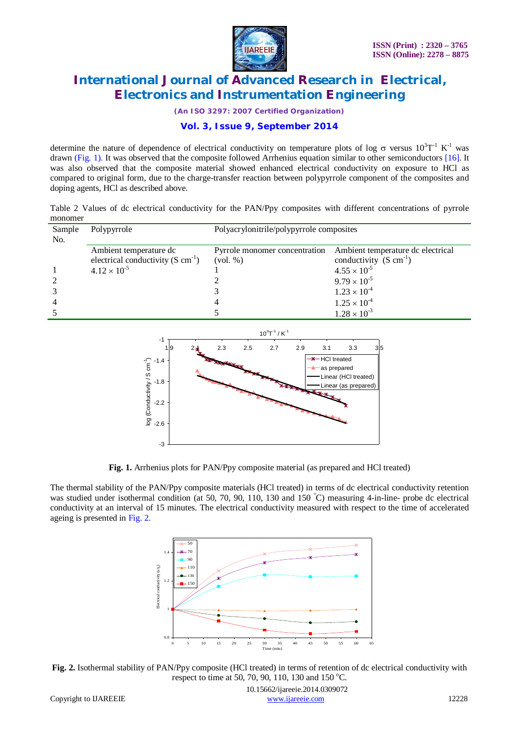

*(An ISO 3297: 2007 Certified Organization)*

### **Vol. 3, Issue 9, September 2014**

determine the nature of dependence of electrical conductivity on temperature plots of log  $\sigma$  versus  $10^3T^{-1}$  K<sup>-1</sup> was drawn (Fig. 1). It was observed that the composite followed Arrhenius equation similar to other semiconductors [16]. It was also observed that the composite material showed enhanced electrical conductivity on exposure to HCl as compared to original form, due to the charge-transfer reaction between polypyrrole component of the composites and doping agents, HCl as described above.

Table 2 Values of dc electrical conductivity for the PAN/Ppy composites with different concentrations of pyrrole monomer

| Sample<br>No. | Polypyrrole                                                             | Polyacrylonitrile/polypyrrole composites                |                                                                         |  |
|---------------|-------------------------------------------------------------------------|---------------------------------------------------------|-------------------------------------------------------------------------|--|
|               | Ambient temperature dc<br>electrical conductivity $(S \text{ cm}^{-1})$ | Pyrrole monomer concentration<br>$\left(\text{vol. }\%$ | Ambient temperature dc electrical<br>conductivity $(S \text{ cm}^{-1})$ |  |
|               | $4.12 \times 10^{-5}$                                                   |                                                         | $4.55 \times 10^{-5}$                                                   |  |
|               |                                                                         |                                                         | $9.79 \times 10^{-5}$                                                   |  |
|               |                                                                         |                                                         | $1.23 \times 10^{-4}$                                                   |  |
|               |                                                                         |                                                         | $1.25 \times 10^{-4}$                                                   |  |
|               |                                                                         |                                                         | $1.28 \times 10^{-3}$                                                   |  |



**Fig. 1.** Arrhenius plots for PAN/Ppy composite material (as prepared and HCl treated)

The thermal stability of the PAN/Ppy composite materials (HCl treated) in terms of dc electrical conductivity retention was studied under isothermal condition (at 50, 70, 90, 110, 130 and 150 °C) measuring 4-in-line- probe dc electrical conductivity at an interval of 15 minutes. The electrical conductivity measured with respect to the time of accelerated ageing is presented in Fig. 2.



**Fig. 2.** Isothermal stability of PAN/Ppy composite (HCl treated) in terms of retention of dc electrical conductivity with respect to time at 50, 70, 90, 110, 130 and 150 °C.

 10.15662/ijareeie.2014.0309072 Copyright to IJAREEIE www.ijareeie.com 12228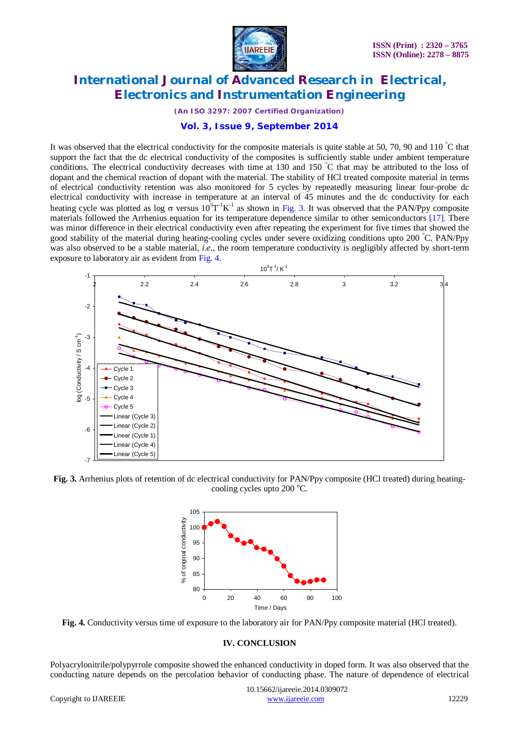

*(An ISO 3297: 2007 Certified Organization)*

#### **Vol. 3, Issue 9, September 2014**

It was observed that the electrical conductivity for the composite materials is quite stable at 50, 70, 90 and 110 °C that support the fact that the dc electrical conductivity of the composites is sufficiently stable under ambient temperature conditions. The electrical conductivity decreases with time at 130 and 150 °C that may be attributed to the loss of dopant and the chemical reaction of dopant with the material. The stability of HCl treated composite material in terms of electrical conductivity retention was also monitored for 5 cycles by repeatedly measuring linear four-probe dc electrical conductivity with increase in temperature at an interval of 45 minutes and the dc conductivity for each heating cycle was plotted as log  $\sigma$  versus  $10^3T^1K^1$  as shown in Fig. 3. It was observed that the PAN/Ppy composite materials followed the Arrhenius equation for its temperature dependence similar to other semiconductors [17]. There was minor difference in their electrical conductivity even after repeating the experiment for five times that showed the good stability of the material during heating-cooling cycles under severe oxidizing conditions upto 200 °C. PAN/Ppy was also observed to be a stable material, *i.e.*, the room temperature conductivity is negligibly affected by short-term exposure to laboratory air as evident from Fig. 4.



**Fig. 3.** Arrhenius plots of retention of dc electrical conductivity for PAN/Ppy composite (HCl treated) during heatingcooling cycles upto  $200^{\circ}$ C.



**Fig. 4.** Conductivity versus time of exposure to the laboratory air for PAN/Ppy composite material (HCl treated).

#### **IV. CONCLUSION**

Polyacrylonitrile/polypyrrole composite showed the enhanced conductivity in doped form. It was also observed that the conducting nature depends on the percolation behavior of conducting phase. The nature of dependence of electrical